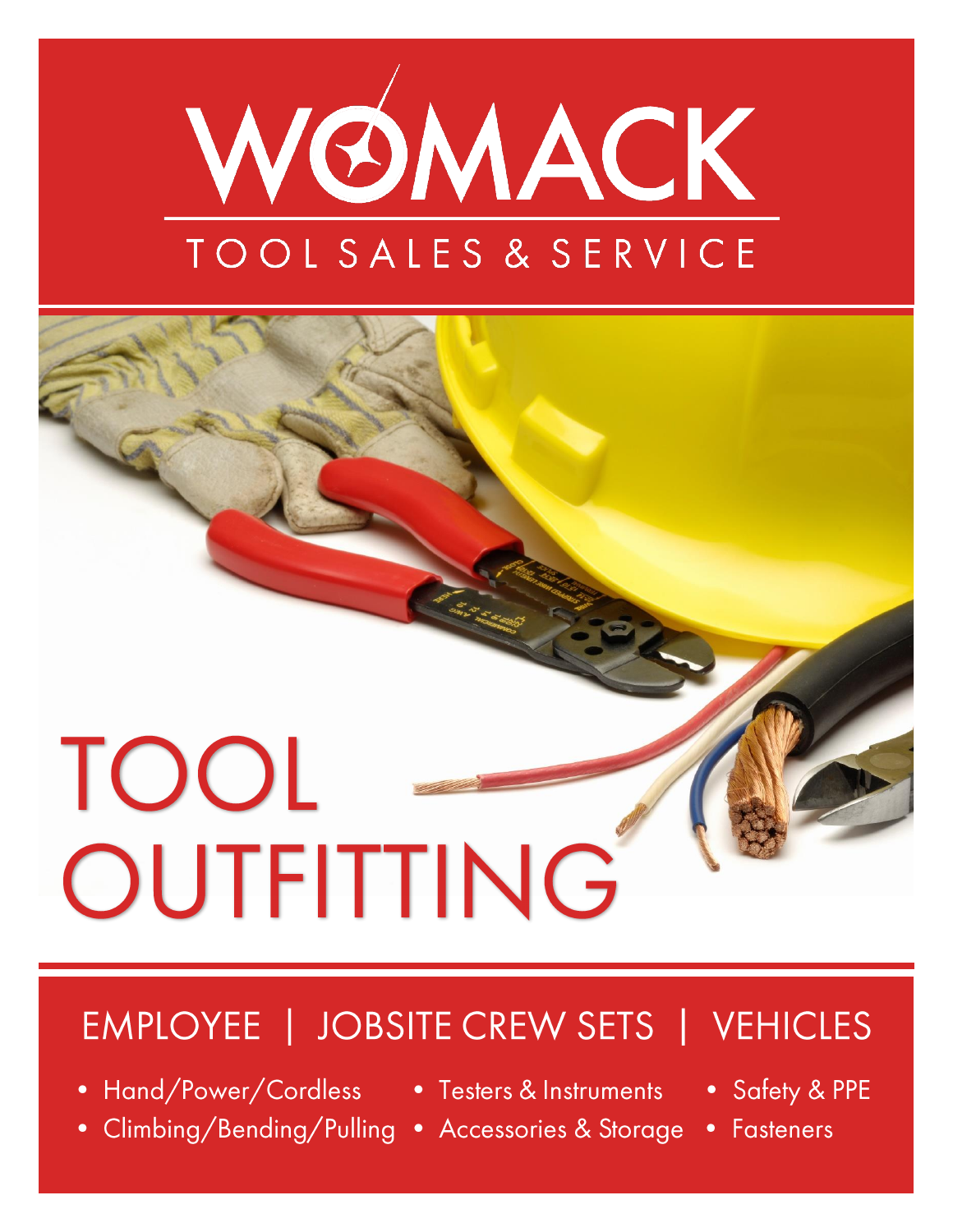



# EMPLOYEE | JOBSITE CREW SETS | VEHICLES

- Hand/Power/Cordless Testers & Instruments
- Climbing/Bending/Pulling Accessories & Storage
- 
- Safety & PPE
- Fasteners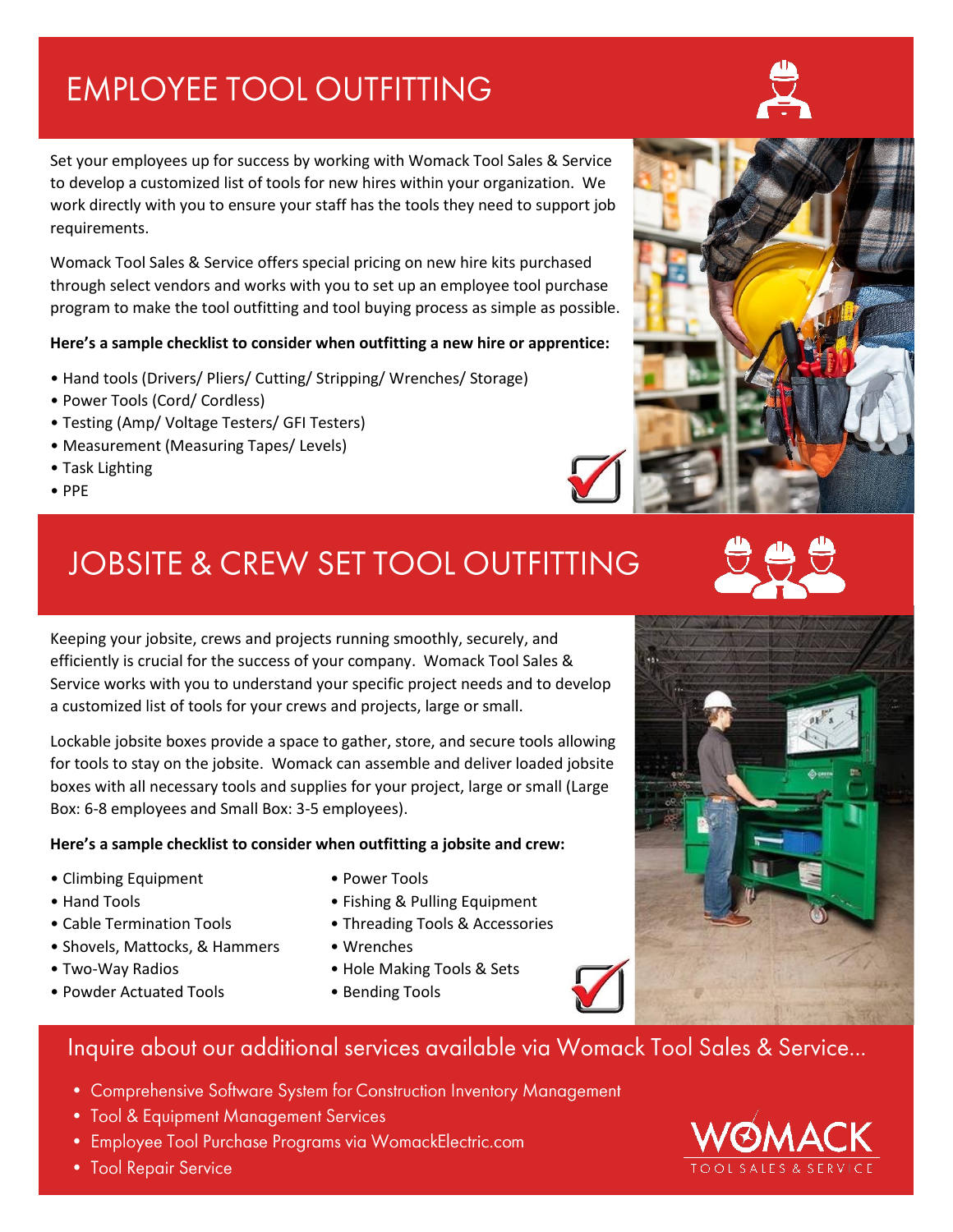## **EMPLOYEE TOOL OUTFITTING**

Set your employees up for success by working with Womack Tool Sales & Service to develop a customized list of tools for new hires within your organization. We work directly with you to ensure your staff has the tools they need to support job requirements.

Womack Tool Sales & Service offers special pricing on new hire kits purchased through select vendors and works with you to set up an employee tool purchase program to make the tool outfitting and tool buying process as simple as possible.

### **Here's a sample checklist to consider when outfitting a new hire or apprentice:**

- Hand tools (Drivers/ Pliers/ Cutting/ Stripping/ Wrenches/ Storage)
- Power Tools (Cord/ Cordless)
- Testing (Amp/ Voltage Testers/ GFI Testers)
- Measurement (Measuring Tapes/ Levels)
- Task Lighting
- PPE

## **JOBSITE & CREW SET TOOL OUTFITTING**

Keeping your jobsite, crews and projects running smoothly, securely, and efficiently is crucial for the success of your company. Womack Tool Sales & Service works with you to understand your specific project needs and to develop a customized list of tools for your crews and projects, large or small.

Lockable jobsite boxes provide a space to gather, store, and secure tools allowing for tools to stay on the jobsite. Womack can assemble and deliver loaded jobsite boxes with all necessary tools and supplies for your project, large or small (Large Box: 6-8 employees and Small Box: 3-5 employees).

### **Here's a sample checklist to consider when outfitting a jobsite and crew:**

- Climbing Equipment Power Tools
- 
- 
- Shovels, Mattocks, & Hammers Wrenches
- Two-Way Radios Hole Making Tools & Sets
- Powder Actuated Tools Bending Tools
- 
- Hand Tools Fishing & Pulling Equipment
- Cable Termination Tools Threading Tools & Accessories
	-
	-
	-



- Comprehensive Software System for Construction Inventory Management
- Tool & Equipment Management Services
- Employee Tool Purchase Programs via WomackElectric.com
- Tool Repair Service









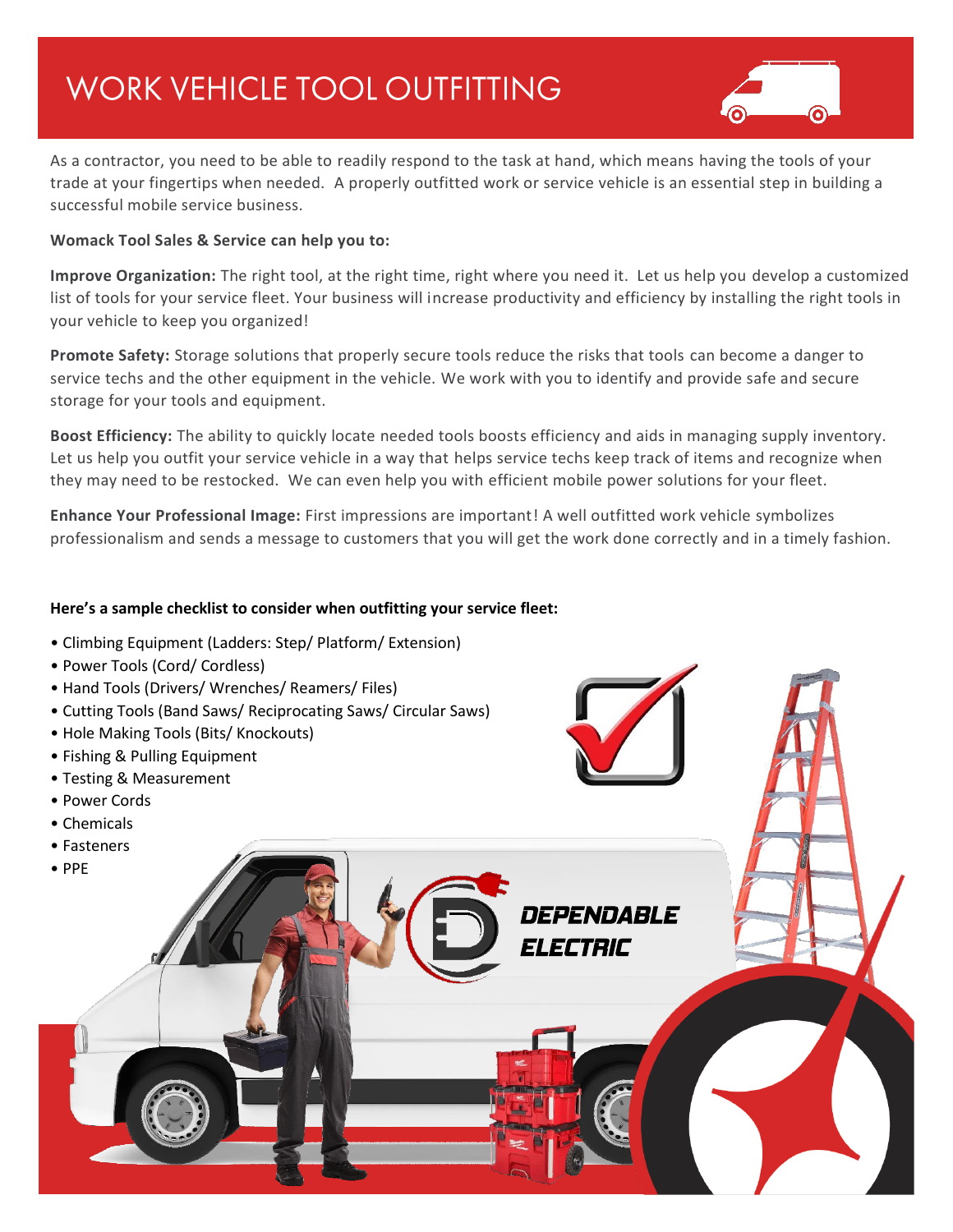## **WORK VEHICLE TOOL OUTFITTING**



As a contractor, you need to be able to readily respond to the task at hand, which means having the tools of your trade at your fingertips when needed. A properly outfitted work or service vehicle is an essential step in building a successful mobile service business.

### **Womack Tool Sales & Service can help you to:**

**Improve Organization:** The right tool, at the right time, right where you need it. Let us help you develop a customized list of tools for your service fleet. Your business will increase productivity and efficiency by installing the right tools in your vehicle to keep you organized!

**Promote Safety:** Storage solutions that properly secure tools reduce the risks that tools can become a danger to service techs and the other equipment in the vehicle. We work with you to identify and provide safe and secure storage for your tools and equipment.

**Boost Efficiency:** The ability to quickly locate needed tools boosts efficiency and aids in managing supply inventory. Let us help you outfit your service vehicle in a way that helps service techs keep track of items and recognize when they may need to be restocked. We can even help you with efficient mobile power solutions for your fleet.

**Enhance Your Professional Image:** First impressions are important! A well outfitted work vehicle symbolizes professionalism and sends a message to customers that you will get the work done correctly and in a timely fashion.

*DEPENDABLE* 

*ELECTRIC* 

### **Here's a sample checklist to consider when outfitting your service fleet:**

- Climbing Equipment (Ladders: Step/ Platform/ Extension)
- Power Tools (Cord/ Cordless)
- Hand Tools (Drivers/ Wrenches/ Reamers/ Files)
- Cutting Tools (Band Saws/ Reciprocating Saws/ Circular Saws)
- Hole Making Tools (Bits/ Knockouts)
- Fishing & Pulling Equipment
- Testing & Measurement
- Power Cords
- Chemicals
- Fasteners
- PPE